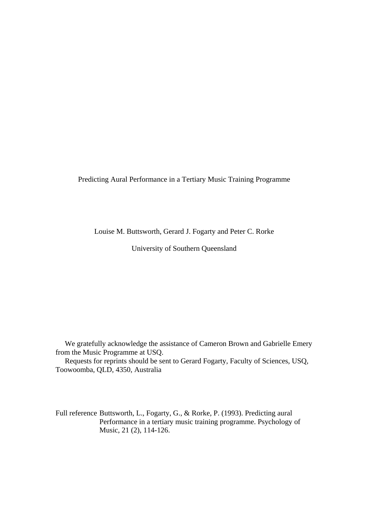Predicting Aural Performance in a Tertiary Music Training Programme

Louise M. Buttsworth, Gerard J. Fogarty and Peter C. Rorke

University of Southern Queensland

 We gratefully acknowledge the assistance of Cameron Brown and Gabrielle Emery from the Music Programme at USQ.

 Requests for reprints should be sent to Gerard Fogarty, Faculty of Sciences, USQ, Toowoomba, QLD, 4350, Australia

Full reference Buttsworth, L., Fogarty, G., & Rorke, P. (1993). Predicting aural Performance in a tertiary music training programme. Psychology of Music, 21 (2), 114-126.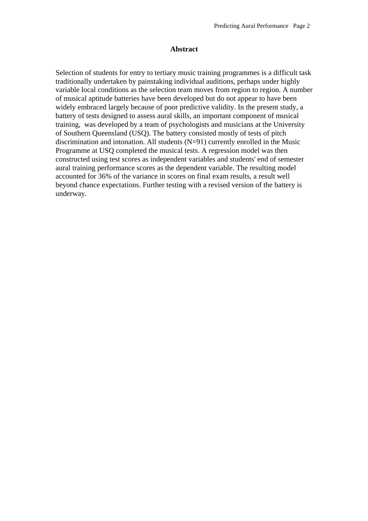## **Abstract**

Selection of students for entry to tertiary music training programmes is a difficult task traditionally undertaken by painstaking individual auditions, perhaps under highly variable local conditions as the selection team moves from region to region. A number of musical aptitude batteries have been developed but do not appear to have been widely embraced largely because of poor predictive validity. In the present study, a battery of tests designed to assess aural skills, an important component of musical training, was developed by a team of psychologists and musicians at the University of Southern Queensland (USQ). The battery consisted mostly of tests of pitch discrimination and intonation. All students (N=91) currently enrolled in the Music Programme at USQ completed the musical tests. A regression model was then constructed using test scores as independent variables and students' end of semester aural training performance scores as the dependent variable. The resulting model accounted for 36% of the variance in scores on final exam results, a result well beyond chance expectations. Further testing with a revised version of the battery is underway.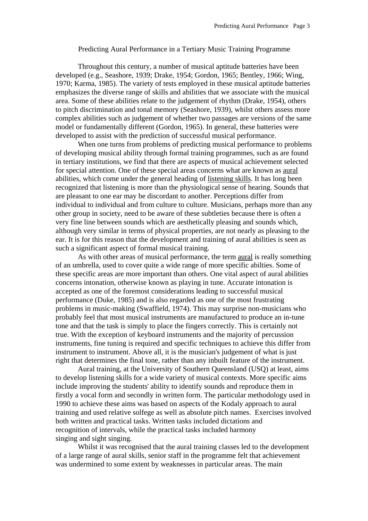## Predicting Aural Performance in a Tertiary Music Training Programme

 Throughout this century, a number of musical aptitude batteries have been developed (e.g., Seashore, 1939; Drake, 1954; Gordon, 1965; Bentley, 1966; Wing, 1970; Karma, 1985). The variety of tests employed in these musical aptitude batteries emphasizes the diverse range of skills and abilities that we associate with the musical area. Some of these abilities relate to the judgement of rhythm (Drake, 1954), others to pitch discrimination and tonal memory (Seashore, 1939), whilst others assess more complex abilities such as judgement of whether two passages are versions of the same model or fundamentally different (Gordon, 1965). In general, these batteries were developed to assist with the prediction of successful musical performance.

 When one turns from problems of predicting musical performance to problems of developing musical ability through formal training programmes, such as are found in tertiary institutions, we find that there are aspects of musical achievement selected for special attention. One of these special areas concerns what are known as aural abilities, which come under the general heading of listening skills. It has long been recognized that listening is more than the physiological sense of hearing. Sounds that are pleasant to one ear may be discordant to another. Perceptions differ from individual to individual and from culture to culture. Musicians, perhaps more than any other group in society, need to be aware of these subtleties because there is often a very fine line between sounds which are aesthetically pleasing and sounds which, although very similar in terms of physical properties, are not nearly as pleasing to the ear. It is for this reason that the development and training of aural abilities is seen as such a significant aspect of formal musical training.

 As with other areas of musical performance, the term aural is really something of an umbrella, used to cover quite a wide range of more specific abilties. Some of these specific areas are more important than others. One vital aspect of aural abilities concerns intonation, otherwise known as playing in tune. Accurate intonation is accepted as one of the foremost considerations leading to successful musical performance (Duke, 1985) and is also regarded as one of the most frustrating problems in music-making (Swaffield, 1974). This may surprise non-musicians who probably feel that most musical instruments are manufactured to produce an in-tune tone and that the task is simply to place the fingers correctly. This is certainly not true. With the exception of keyboard instruments and the majority of percussion instruments, fine tuning is required and specific techniques to achieve this differ from instrument to instrument. Above all, it is the musician's judgement of what is just right that determines the final tone, rather than any inbuilt feature of the instrument.

 Aural training, at the University of Southern Queensland (USQ) at least, aims to develop listening skills for a wide variety of musical contexts. More specific aims include improving the students' ability to identify sounds and reproduce them in firstly a vocal form and secondly in written form. The particular methodology used in 1990 to achieve these aims was based on aspects of the Kodaly approach to aural training and used relative solfege as well as absolute pitch names. Exercises involved both written and practical tasks. Written tasks included dictations and recognition of intervals, while the practical tasks included harmony singing and sight singing.

 Whilst it was recognised that the aural training classes led to the development of a large range of aural skills, senior staff in the programme felt that achievement was undermined to some extent by weaknesses in particular areas. The main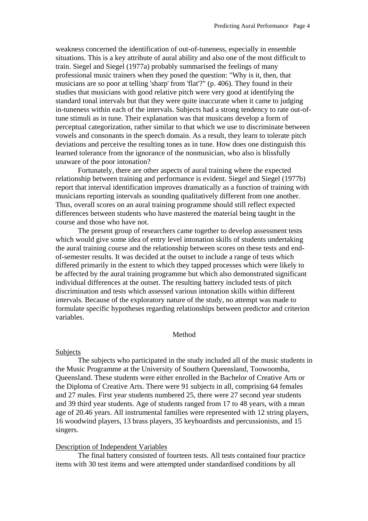weakness concerned the identification of out-of-tuneness, especially in ensemble situations. This is a key attribute of aural ability and also one of the most difficult to train. Siegel and Siegel (1977a) probably summarised the feelings of many professional music trainers when they posed the question: "Why is it, then, that musicians are so poor at telling 'sharp' from 'flat'?" (p. 406). They found in their studies that musicians with good relative pitch were very good at identifying the standard tonal intervals but that they were quite inaccurate when it came to judging in-tuneness within each of the intervals. Subjects had a strong tendency to rate out-oftune stimuli as in tune. Their explanation was that musicans develop a form of perceptual categorization, rather similar to that which we use to discriminate between vowels and consonants in the speech domain. As a result, they learn to tolerate pitch deviations and perceive the resulting tones as in tune. How does one distinguish this learned tolerance from the ignorance of the nonmusician, who also is blissfully unaware of the poor intonation?

 Fortunately, there are other aspects of aural training where the expected relationship between training and performance is evident. Siegel and Siegel (1977b) report that interval identification improves dramatically as a function of training with musicians reporting intervals as sounding qualitatively different from one another. Thus, overall scores on an aural training programme should still reflect expected differences between students who have mastered the material being taught in the course and those who have not.

 The present group of researchers came together to develop assessment tests which would give some idea of entry level intonation skills of students undertaking the aural training course and the relationship between scores on these tests and endof-semester results. It was decided at the outset to include a range of tests which differed primarily in the extent to which they tapped processes which were likely to be affected by the aural training programme but which also demonstrated significant individual differences at the outset. The resulting battery included tests of pitch discrimination and tests which assessed various intonation skills within different intervals. Because of the exploratory nature of the study, no attempt was made to formulate specific hypotheses regarding relationships between predictor and criterion variables.

## Method

#### Subjects

 The subjects who participated in the study included all of the music students in the Music Programme at the University of Southern Queensland, Toowoomba, Queensland. These students were either enrolled in the Bachelor of Creative Arts or the Diploma of Creative Arts. There were 91 subjects in all, comprising 64 females and 27 males. First year students numbered 25, there were 27 second year students and 39 third year students. Age of students ranged from 17 to 48 years, with a mean age of 20.46 years. All instrumental families were represented with 12 string players, 16 woodwind players, 13 brass players, 35 keyboardists and percussionists, and 15 singers.

## Description of Independent Variables

 The final battery consisted of fourteen tests. All tests contained four practice items with 30 test items and were attempted under standardised conditions by all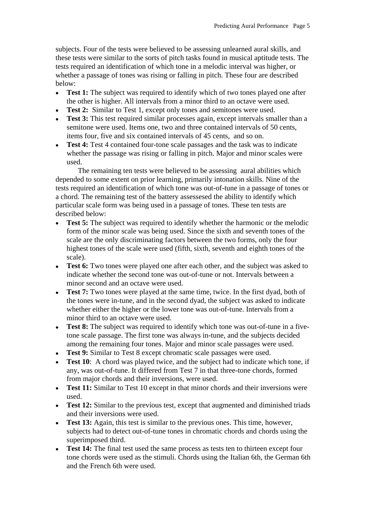subjects. Four of the tests were believed to be assessing unlearned aural skills, and these tests were similar to the sorts of pitch tasks found in musical aptitude tests. The tests required an identification of which tone in a melodic interval was higher, or whether a passage of tones was rising or falling in pitch. These four are described below:

- **Test 1:** The subject was required to identify which of two tones played one after the other is higher. All intervals from a minor third to an octave were used.
- **Test 2:** Similar to Test 1, except only tones and semitones were used.
- **Test 3:** This test required similar processes again, except intervals smaller than a semitone were used. Items one, two and three contained intervals of 50 cents, items four, five and six contained intervals of 45 cents, and so on.
- **Test 4:** Test 4 contained four-tone scale passages and the task was to indicate whether the passage was rising or falling in pitch. Major and minor scales were used.

 The remaining ten tests were believed to be assessing aural abilities which depended to some extent on prior learning, primarily intonation skills. Nine of the tests required an identification of which tone was out-of-tune in a passage of tones or a chord. The remaining test of the battery assessesed the ability to identify which particular scale form was being used in a passage of tones. These ten tests are described below:

- **Test 5:** The subject was required to identify whether the harmonic or the melodic form of the minor scale was being used. Since the sixth and seventh tones of the scale are the only discriminating factors between the two forms, only the four highest tones of the scale were used (fifth, sixth, seventh and eighth tones of the scale).
- **Test 6:** Two tones were played one after each other, and the subject was asked to indicate whether the second tone was out-of-tune or not. Intervals between a minor second and an octave were used.
- **Test 7:** Two tones were played at the same time, twice. In the first dyad, both of the tones were in-tune, and in the second dyad, the subject was asked to indicate whether either the higher or the lower tone was out-of-tune. Intervals from a minor third to an octave were used.
- **Test 8:** The subject was required to identify which tone was out-of-tune in a fivetone scale passage. The first tone was always in-tune, and the subjects decided among the remaining four tones. Major and minor scale passages were used.
- • **Test 9:** Similar to Test 8 except chromatic scale passages were used.
- **Test 10**: A chord was played twice, and the subject had to indicate which tone, if any, was out-of-tune. It differed from Test 7 in that three-tone chords, formed from major chords and their inversions, were used.
- **Test 11:** Similar to Test 10 except in that minor chords and their inversions were used.
- **Test 12:** Similar to the previous test, except that augmented and diminished triads and their inversions were used.
- **Test 13:** Again, this test is similar to the previous ones. This time, however, subjects had to detect out-of-tune tones in chromatic chords and chords using the superimposed third.
- **Test 14:** The final test used the same process as tests ten to thirteen except four tone chords were used as the stimuli. Chords using the Italian 6th, the German 6th and the French 6th were used.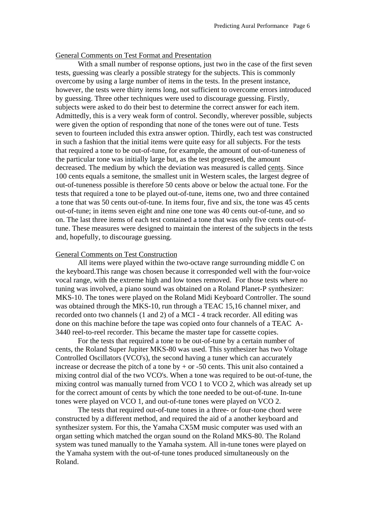## General Comments on Test Format and Presentation

 With a small number of response options, just two in the case of the first seven tests, guessing was clearly a possible strategy for the subjects. This is commonly overcome by using a large number of items in the tests. In the present instance, however, the tests were thirty items long, not sufficient to overcome errors introduced by guessing. Three other techniques were used to discourage guessing. Firstly, subjects were asked to do their best to determine the correct answer for each item. Admittedly, this is a very weak form of control. Secondly, wherever possible, subjects were given the option of responding that none of the tones were out of tune. Tests seven to fourteen included this extra answer option. Thirdly, each test was constructed in such a fashion that the initial items were quite easy for all subjects. For the tests that required a tone to be out-of-tune, for example, the amount of out-of-tuneness of the particular tone was initially large but, as the test progressed, the amount decreased. The medium by which the deviation was measured is called cents. Since 100 cents equals a semitone, the smallest unit in Western scales, the largest degree of out-of-tuneness possible is therefore 50 cents above or below the actual tone. For the tests that required a tone to be played out-of-tune, items one, two and three contained a tone that was 50 cents out-of-tune. In items four, five and six, the tone was 45 cents out-of-tune; in items seven eight and nine one tone was 40 cents out-of-tune, and so on. The last three items of each test contained a tone that was only five cents out-oftune. These measures were designed to maintain the interest of the subjects in the tests and, hopefully, to discourage guessing.

# General Comments on Test Construction

 All items were played within the two-octave range surrounding middle C on the keyboard.This range was chosen because it corresponded well with the four-voice vocal range, with the extreme high and low tones removed. For those tests where no tuning was involved, a piano sound was obtained on a Roland Planet-P synthesizer: MKS-10. The tones were played on the Roland Midi Keyboard Controller. The sound was obtained through the MKS-10, run through a TEAC 15,16 channel mixer, and recorded onto two channels (1 and 2) of a MCI - 4 track recorder. All editing was done on this machine before the tape was copied onto four channels of a TEAC A-3440 reel-to-reel recorder. This became the master tape for cassette copies.

 For the tests that required a tone to be out-of-tune by a certain number of cents, the Roland Super Jupiter MKS-80 was used. This synthesizer has two Voltage Controlled Oscillators (VCO's), the second having a tuner which can accurately increase or decrease the pitch of a tone by  $+$  or  $-50$  cents. This unit also contained a mixing control dial of the two VCO's. When a tone was required to be out-of-tune, the mixing control was manually turned from VCO 1 to VCO 2, which was already set up for the correct amount of cents by which the tone needed to be out-of-tune. In-tune tones were played on VCO 1, and out-of-tune tones were played on VCO 2.

 The tests that required out-of-tune tones in a three- or four-tone chord were constructed by a different method, and required the aid of a another keyboard and synthesizer system. For this, the Yamaha CX5M music computer was used with an organ setting which matched the organ sound on the Roland MKS-80. The Roland system was tuned manually to the Yamaha system. All in-tune tones were played on the Yamaha system with the out-of-tune tones produced simultaneously on the Roland.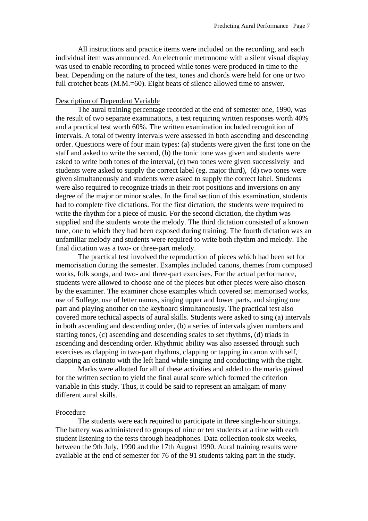All instructions and practice items were included on the recording, and each individual item was announced. An electronic metronome with a silent visual display was used to enable recording to proceed while tones were produced in time to the beat. Depending on the nature of the test, tones and chords were held for one or two full crotchet beats (M.M.=60). Eight beats of silence allowed time to answer.

## Description of Dependent Variable

 The aural training percentage recorded at the end of semester one, 1990, was the result of two separate examinations, a test requiring written responses worth 40% and a practical test worth 60%. The written examination included recognition of intervals. A total of twenty intervals were assessed in both ascending and descending order. Questions were of four main types: (a) students were given the first tone on the staff and asked to write the second, (b) the tonic tone was given and students were asked to write both tones of the interval, (c) two tones were given successively and students were asked to supply the correct label (eg. major third), (d) two tones were given simultaneously and students were asked to supply the correct label. Students were also required to recognize triads in their root positions and inversions on any degree of the major or minor scales. In the final section of this examination, students had to complete five dictations. For the first dictation, the students were required to write the rhythm for a piece of music. For the second dictation, the rhythm was supplied and the students wrote the melody. The third dictation consisted of a known tune, one to which they had been exposed during training. The fourth dictation was an unfamiliar melody and students were required to write both rhythm and melody. The final dictation was a two- or three-part melody.

 The practical test involved the reproduction of pieces which had been set for memorisation during the semester. Examples included canons, themes from composed works, folk songs, and two- and three-part exercises. For the actual performance, students were allowed to choose one of the pieces but other pieces were also chosen by the examiner. The examiner chose examples which covered set memorised works, use of Solfege, use of letter names, singing upper and lower parts, and singing one part and playing another on the keyboard simultaneously. The practical test also covered more techical aspects of aural skills. Students were asked to sing (a) intervals in both ascending and descending order, (b) a series of intervals given numbers and starting tones, (c) ascending and descending scales to set rhythms, (d) triads in ascending and descending order. Rhythmic ability was also assessed through such exercises as clapping in two-part rhythms, clapping or tapping in canon with self, clapping an ostinato with the left hand while singing and conducting with the right.

 Marks were allotted for all of these activities and added to the marks gained for the written section to yield the final aural score which formed the criterion variable in this study. Thus, it could be said to represent an amalgam of many different aural skills.

## Procedure

 The students were each required to participate in three single-hour sittings. The battery was administered to groups of nine or ten students at a time with each student listening to the tests through headphones. Data collection took six weeks, between the 9th July, 1990 and the 17th August 1990. Aural training results were available at the end of semester for 76 of the 91 students taking part in the study.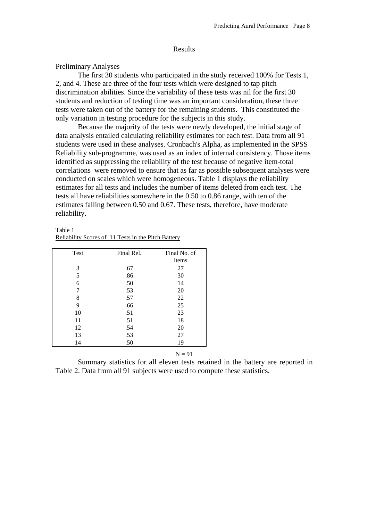#### Results

#### Preliminary Analyses

 The first 30 students who participated in the study received 100% for Tests 1, 2, and 4. These are three of the four tests which were designed to tap pitch discrimination abilities. Since the variability of these tests was nil for the first 30 students and reduction of testing time was an important consideration, these three tests were taken out of the battery for the remaining students. This constituted the only variation in testing procedure for the subjects in this study.

 Because the majority of the tests were newly developed, the initial stage of data analysis entailed calculating reliability estimates for each test. Data from all 91 students were used in these analyses. Cronbach's Alpha, as implemented in the SPSS Reliability sub-programme, was used as an index of internal consistency. Those items identified as suppressing the reliability of the test because of negative item-total correlations were removed to ensure that as far as possible subsequent analyses were conducted on scales which were homogeneous. Table 1 displays the reliability estimates for all tests and includes the number of items deleted from each test. The tests all have reliabilities somewhere in the 0.50 to 0.86 range, with ten of the estimates falling between 0.50 and 0.67. These tests, therefore, have moderate reliability.

| Table 1 |                                                     |
|---------|-----------------------------------------------------|
|         | Reliability Scores of 11 Tests in the Pitch Battery |

| Test | Final Rel. | Final No. of |
|------|------------|--------------|
|      |            | items        |
| 3    | .67        | 27           |
| 5    | .86        | 30           |
| 6    | .50        | 14           |
| 7    | .53        | 20           |
| 8    | .57        | 22           |
| 9    | .66        | 25           |
| 10   | .51        | 23           |
| 11   | .51        | 18           |
| 12   | .54        | 20           |
| 13   | .53        | 27           |
| 14   | .50        | 19           |
|      |            |              |

## $N = 91$

 Summary statistics for all eleven tests retained in the battery are reported in Table 2. Data from all 91 subjects were used to compute these statistics.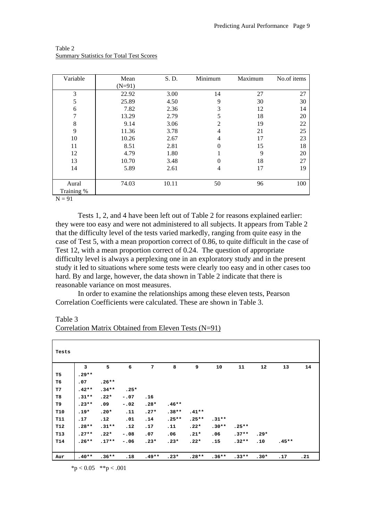| Variable       | Mean     | S. D. | Minimum        | Maximum | No.of items |  |
|----------------|----------|-------|----------------|---------|-------------|--|
|                | $(N=91)$ |       |                |         |             |  |
| 3              | 22.92    | 3.00  | 14             | 27      | 27          |  |
| $\sqrt{5}$     | 25.89    | 4.50  | 9              | 30      | 30          |  |
| 6              | 7.82     | 2.36  | 3              | 12      | 14          |  |
| $\overline{7}$ | 13.29    | 2.79  | 5              | 18      | 20          |  |
| 8              | 9.14     | 3.06  | 2              | 19      | 22          |  |
| 9              | 11.36    | 3.78  | $\overline{4}$ | 21      | 25          |  |
| 10             | 10.26    | 2.67  | $\overline{4}$ | 17      | 23          |  |
| 11             | 8.51     | 2.81  | $\Omega$       | 15      | 18          |  |
| 12             | 4.79     | 1.80  |                | 9       | 20          |  |
| 13             | 10.70    | 3.48  | $\theta$       | 18      | 27          |  |
| 14             | 5.89     | 2.61  | 4              | 17      | 19          |  |
|                |          |       |                |         |             |  |
| Aural          | 74.03    | 10.11 | 50             | 96      | 100         |  |
| Training %     |          |       |                |         |             |  |
| $N = 91$       |          |       |                |         |             |  |

Table 2 Summary Statistics for Total Test Scores

 Tests 1, 2, and 4 have been left out of Table 2 for reasons explained earlier: they were too easy and were not administered to all subjects. It appears from Table 2 that the difficulty level of the tests varied markedly, ranging from quite easy in the case of Test 5, with a mean proportion correct of 0.86, to quite difficult in the case of Test 12, with a mean proportion correct of 0.24. The question of appropriate difficulty level is always a perplexing one in an exploratory study and in the present study it led to situations where some tests were clearly too easy and in other cases too hard. By and large, however, the data shown in Table 2 indicate that there is reasonable variance on most measures.

 In order to examine the relationships among these eleven tests, Pearson Correlation Coefficients were calculated. These are shown in Table 3.

Table 3

| Correlation Matrix Obtained from Eleven Tests $(N=91)$ |  |
|--------------------------------------------------------|--|
|--------------------------------------------------------|--|

| Tests           |         |         |        |         |         |         |         |         |        |         |     |
|-----------------|---------|---------|--------|---------|---------|---------|---------|---------|--------|---------|-----|
|                 | 3       | 5       | 6      | 7       | 8       | 9       | 10      | 11      | 12     | 13      | 14  |
| T5              | $.29**$ |         |        |         |         |         |         |         |        |         |     |
| Т6              | .07     | $.26**$ |        |         |         |         |         |         |        |         |     |
| T7              | $.42**$ | $.34**$ | $.25*$ |         |         |         |         |         |        |         |     |
| T8              | $.31**$ | $.22*$  | $-.07$ | .16     |         |         |         |         |        |         |     |
| т9              | $.23**$ | .09     | $-.02$ | $.28*$  | $.46**$ |         |         |         |        |         |     |
| T10             | $.19*$  | $.20*$  | .11    | $.27*$  | $.38**$ | $.41**$ |         |         |        |         |     |
| <b>T11</b>      | .17     | .12     | .01    | .14     | $.25**$ | $.25**$ | $.31**$ |         |        |         |     |
| <b>T12</b>      | $.28**$ | $.31**$ | .12    | .17     | .11     | $.22*$  | $.30**$ | $.25**$ |        |         |     |
| T <sub>13</sub> | $.27**$ | $.22*$  | $-.08$ | .07     | .06     | $.21*$  | .06     | $.37**$ | $.29*$ |         |     |
| T14             | $.26**$ | $.17**$ | $-.06$ | $.23*$  | $.23*$  | $.22*$  | .15     | $.32**$ | .10    | $.45**$ |     |
| Aur             | $.40**$ | $.36**$ | .18    | $.49**$ | $.23*$  | $.28**$ | $.36**$ | $.33**$ | $.30*$ | .17     | .21 |

 $*p < 0.05$  \*\*p < .001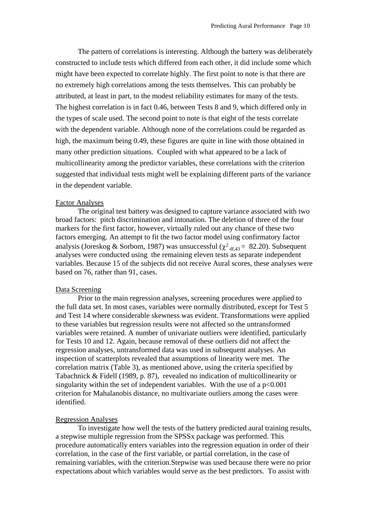The pattern of correlations is interesting. Although the battery was deliberately constructed to include tests which differed from each other, it did include some which might have been expected to correlate highly. The first point to note is that there are no extremely high correlations among the tests themselves. This can probably be attributed, at least in part, to the modest reliability estimates for many of the tests. The highest correlation is in fact 0.46, between Tests 8 and 9, which differed only in the types of scale used. The second point to note is that eight of the tests correlate with the dependent variable. Although none of the correlations could be regarded as high, the maximum being 0.49, these figures are quite in line with those obtained in many other prediction situations. Coupled with what appeared to be a lack of multicollinearity among the predictor variables, these correlations with the criterion suggested that individual tests might well be explaining different parts of the variance in the dependent variable.

## Factor Analyses

 The original test battery was designed to capture variance associated with two broad factors: pitch discrimination and intonation. The deletion of three of the four markers for the first factor, however, virtually ruled out any chance of these two factors emerging. An attempt to fit the two factor model using confirmatory factor analysis (Joreskog & Sorbom, 1987) was unsuccessful ( $\chi^2$ <sub>df,43</sub> = 82.20). Subsequent analyses were conducted using the remaining eleven tests as separate independent variables. Because 15 of the subjects did not receive Aural scores, these analyses were based on 76, rather than 91, cases.

## Data Screening

 Prior to the main regression analyses, screening procedures were applied to the full data set. In most cases, variables were normally distributed, except for Test 5 and Test 14 where considerable skewness was evident. Transformations were applied to these variables but regression results were not affected so the untransformed variables were retained. A number of univariate outliers were identified, particularly for Tests 10 and 12. Again, because removal of these outliers did not affect the regression analyses, untransformed data was used in subsequent analyses. An inspection of scatterplots revealed that assumptions of linearity were met. The correlation matrix (Table 3), as mentioned above, using the criteria specified by Tabachnick & Fidell (1989, p. 87), revealed no indication of multicollinearity or singularity within the set of independent variables. With the use of a  $p<0.001$ criterion for Mahalanobis distance, no multivariate outliers among the cases were identified.

## Regression Analyses

 To investigate how well the tests of the battery predicted aural training results, a stepwise multiple regression from the SPSSx package was performed. This procedure automatically enters variables into the regression equation in order of their correlation, in the case of the first variable, or partial correlation, in the case of remaining variables, with the criterion.Stepwise was used because there were no prior expectations about which variables would serve as the best predictors. To assist with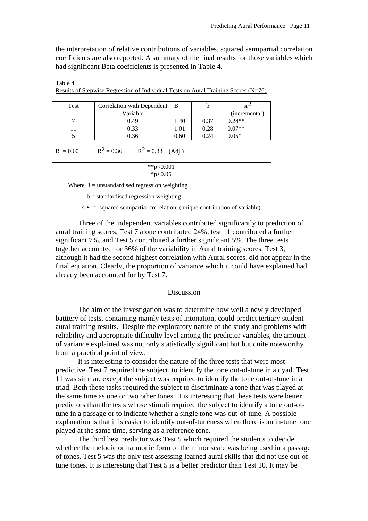the interpretation of relative contributions of variables, squared semipartial correlation coefficients are also reported. A summary of the final results for those variables which had significant Beta coefficients is presented in Table 4.

Table 4

Results of Stepwise Regression of Individual Tests on Aural Training Scores  $(N=76)$ 

| Test                                              | Correlation with Dependent | - B  | b    | $sr^2$        |  |  |  |  |
|---------------------------------------------------|----------------------------|------|------|---------------|--|--|--|--|
|                                                   | Variable                   |      |      | (incremental) |  |  |  |  |
|                                                   | 0.49                       | 1.40 | 0.37 | $0.24**$      |  |  |  |  |
| 11                                                | 0.33                       | 1.01 | 0.28 | $0.07**$      |  |  |  |  |
| 5                                                 | 0.36                       | 0.60 | 0.24 | $0.05*$       |  |  |  |  |
| $R^2 = 0.36$<br>$R^2 = 0.33$ (Adj.)<br>$R = 0.60$ |                            |      |      |               |  |  |  |  |
| **p< $0.001$                                      |                            |      |      |               |  |  |  |  |

 $*p<0.05$ 

Where  $B =$  unstandardised regression weighting

 $b =$  standardised regression weighting

 $sr<sup>2</sup>$  = squared semipartial correlation (unique contribution of variable)

 Three of the independent variables contributed significantly to prediction of aural training scores. Test 7 alone contributed 24%, test 11 contributed a further significant 7%, and Test 5 contributed a further significant 5%. The three tests together accounted for 36% of the variability in Aural training scores. Test 3, although it had the second highest correlation with Aural scores, did not appear in the final equation. Clearly, the proportion of variance which it could have explained had already been accounted for by Test 7.

#### Discussion

 The aim of the investigation was to determine how well a newly developed batttery of tests, containing mainly tests of intonation, could predict tertiary student aural training results. Despite the exploratory nature of the study and problems with reliability and appropriate difficulty level among the predictor variables, the amount of variance explained was not only statistically significant but but quite noteworthy from a practical point of view.

 It is interesting to consider the nature of the three tests that were most predictive. Test 7 required the subject to identify the tone out-of-tune in a dyad. Test 11 was similar, except the subject was required to identify the tone out-of-tune in a triad. Both these tasks required the subject to discriminate a tone that was played at the same time as one or two other tones. It is interesting that these tests were better predictors than the tests whose stimuli required the subject to identify a tone out-oftune in a passage or to indicate whether a single tone was out-of-tune. A possible explanation is that it is easier to identify out-of-tuneness when there is an in-tune tone played at the same time, serving as a reference tone.

 The third best predictor was Test 5 which required the students to decide whether the melodic or harmonic form of the minor scale was being used in a passage of tones. Test 5 was the only test assessing learned aural skills that did not use out-oftune tones. It is interesting that Test 5 is a better predictor than Test 10. It may be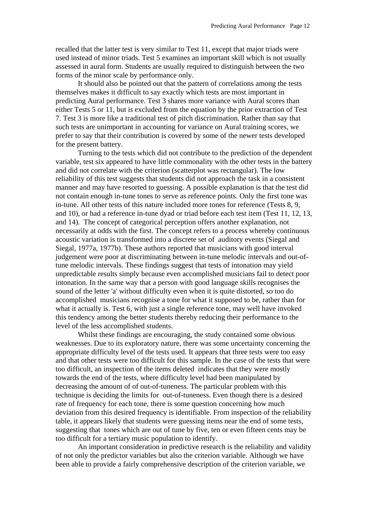recalled that the latter test is very similar to Test 11, except that major triads were used instead of minor triads. Test 5 examines an important skill which is not usually assessed in aural form. Students are usually required to distinguish between the two forms of the minor scale by performance only.

 It should also be pointed out that the pattern of correlations among the tests themselves makes it difficult to say exactly which tests are most important in predicting Aural performance. Test 3 shares more variance with Aural scores than either Tests 5 or 11, but is excluded from the equation by the prior extraction of Test 7. Test 3 is more like a traditional test of pitch discrimination. Rather than say that such tests are unimportant in accounting for variance on Aural training scores, we prefer to say that their contribution is covered by some of the newer tests developed for the present battery.

 Turning to the tests which did not contribute to the prediction of the dependent variable, test six appeared to have little commonality with the other tests in the battery and did not correlate with the criterion (scatterplot was rectangular). The low reliability of this test suggests that students did not approach the task in a consistent manner and may have resorted to guessing. A possible explanation is that the test did not contain enough in-tune tones to serve as reference points. Only the first tone was in-tune. All other tests of this nature included more tones for reference (Tests 8, 9, and 10), or had a reference in-tune dyad or triad before each test item (Test 11, 12, 13, and 14). The concept of categorical perception offers another explanation, not necessarily at odds with the first. The concept refers to a process whereby continuous acoustic variation is transformed into a discrete set of auditory events (Siegal and Siegal, 1977a, 1977b). These authors reported that musicians with good interval judgement were poor at discriminating between in-tune melodic intervals and out-oftune melodic intervals. These findings suggest that tests of intonation may yield unpredictable results simply because even accomplished musicians fail to detect poor intonation. In the same way that a person with good language skills recognises the sound of the letter 'a' without difficulty even when it is quite distorted, so too do accomplished musicians recognise a tone for what it supposed to be, rather than for what it actually is. Test 6, with just a single reference tone, may well have invoked this tendency among the better students thereby reducing their performance to the level of the less accomplished students.

 Whilst these findings are encouraging, the study contained some obvious weaknesses. Due to its exploratory nature, there was some uncertainty concerning the appropriate difficulty level of the tests used. It appears that three tests were too easy and that other tests were too difficult for this sample. In the case of the tests that were too difficult, an inspection of the items deleted indicates that they were mostly towards the end of the tests, where difficulty level had been manipulated by decreasing the amount of of out-of-tuneness. The particular problem with this technique is deciding the limits for out-of-tuneness. Even though there is a desired rate of frequency for each tone, there is some question concerning how much deviation from this desired frequency is identifiable. From inspection of the reliability table, it appears likely that students were guessing items near the end of some tests, suggesting that tones which are out of tune by five, ten or even fifteen cents may be too difficult for a tertiary music population to identify.

 An important consideration in predictive research is the reliability and validity of not only the predictor variables but also the criterion variable. Although we have been able to provide a fairly comprehensive description of the criterion variable, we